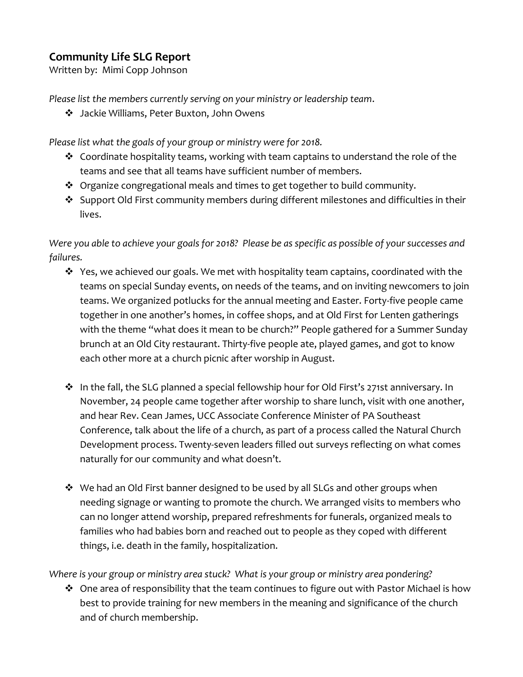## **Community Life SLG Report**

Written by: Mimi Copp Johnson

*Please list the members currently serving on your ministry or leadership team*.

Jackie Williams, Peter Buxton, John Owens

*Please list what the goals of your group or ministry were for 2018.*

- $\cdot \cdot$  Coordinate hospitality teams, working with team captains to understand the role of the teams and see that all teams have sufficient number of members.
- $\cdot$  Organize congregational meals and times to get together to build community.
- $\cdot$  Support Old First community members during different milestones and difficulties in their lives.

*Were you able to achieve your goals for 2018? Please be as specific as possible of your successes and failures.*

- $\cdot$  Yes, we achieved our goals. We met with hospitality team captains, coordinated with the teams on special Sunday events, on needs of the teams, and on inviting newcomers to join teams. We organized potlucks for the annual meeting and Easter. Forty-five people came together in one another's homes, in coffee shops, and at Old First for Lenten gatherings with the theme "what does it mean to be church?" People gathered for a Summer Sunday brunch at an Old City restaurant. Thirty-five people ate, played games, and got to know each other more at a church picnic after worship in August.
- In the fall, the SLG planned a special fellowship hour for Old First's 271st anniversary. In November, 24 people came together after worship to share lunch, visit with one another, and hear Rev. Cean James, UCC Associate Conference Minister of PA Southeast Conference, talk about the life of a church, as part of a process called the Natural Church Development process. Twenty-seven leaders filled out surveys reflecting on what comes naturally for our community and what doesn't.
- $\clubsuit$  We had an Old First banner designed to be used by all SLGs and other groups when needing signage or wanting to promote the church. We arranged visits to members who can no longer attend worship, prepared refreshments for funerals, organized meals to families who had babies born and reached out to people as they coped with different things, i.e. death in the family, hospitalization.

*Where is your group or ministry area stuck? What is your group or ministry area pondering?*

 $\cdot$  One area of responsibility that the team continues to figure out with Pastor Michael is how best to provide training for new members in the meaning and significance of the church and of church membership.